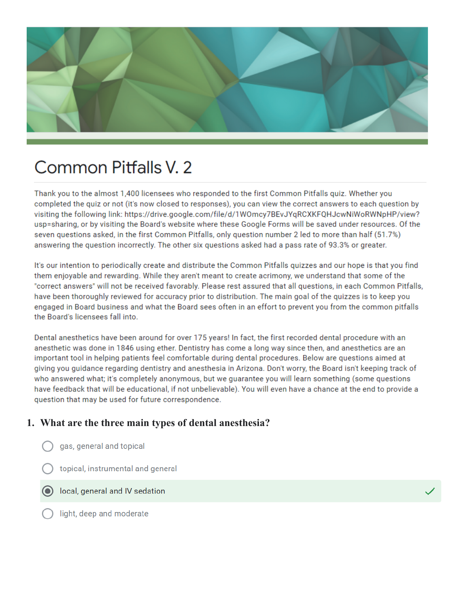

# Common Pitfalls V. 2

Thank you to the almost 1,400 licensees who responded to the first Common Pitfalls quiz. Whether you completed the quiz or not (it's now closed to responses), you can view the correct answers to each question by visiting the following link: https://drive.google.com/file/d/1W0mcy7BEvJYqRCXKFQHJcwNiWoRWNpHP/view? usp=sharing, or by visiting the Board's website where these Google Forms will be saved under resources. Of the seven questions asked, in the first Common Pitfalls, only question number 2 led to more than half (51.7%) answering the question incorrectly. The other six questions asked had a pass rate of 93.3% or greater.

It's our intention to periodically create and distribute the Common Pitfalls quizzes and our hope is that you find them enjoyable and rewarding. While they aren't meant to create acrimony, we understand that some of the "correct answers" will not be received favorably. Please rest assured that all questions, in each Common Pitfalls, have been thoroughly reviewed for accuracy prior to distribution. The main goal of the quizzes is to keep you engaged in Board business and what the Board sees often in an effort to prevent you from the common pitfalls the Board's licensees fall into.

Dental anesthetics have been around for over 175 years! In fact, the first recorded dental procedure with an anesthetic was done in 1846 using ether. Dentistry has come a long way since then, and anesthetics are an important tool in helping patients feel comfortable during dental procedures. Below are questions aimed at giving you guidance regarding dentistry and anesthesia in Arizona. Don't worry, the Board isn't keeping track of who answered what; it's completely anonymous, but we guarantee you will learn something (some questions have feedback that will be educational, if not unbelievable). You will even have a chance at the end to provide a question that may be used for future correspondence.

## 1. What are the three main types of dental anesthesia?

- gas, general and topical
- topical, instrumental and general
- local, general and IV sedation
- light, deep and moderate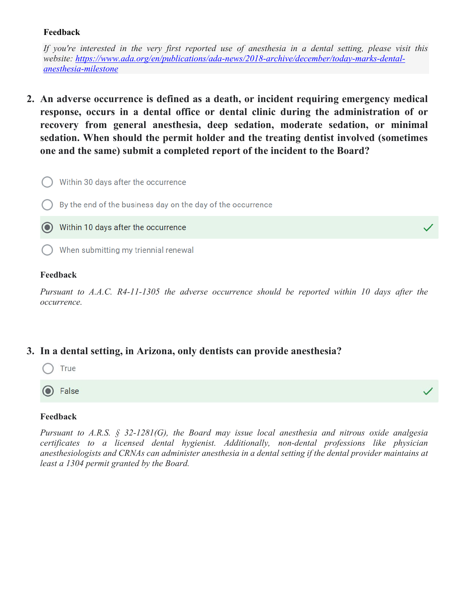#### **Feedback**

*If you're interested in the very first reported use of anesthesia in a dental setting, please visit this website: [https://www.ada.org/en/publications/ada-news/2018-archive/december/today-marks-dental](https://www.ada.org/en/publications/ada-news/2018-archive/december/today-marks-dental-anesthesia-milestone)[anesthesia-milestone](https://www.ada.org/en/publications/ada-news/2018-archive/december/today-marks-dental-anesthesia-milestone)*

**2. An adverse occurrence is defined as a death, or incident requiring emergency medical response, occurs in a dental office or dental clinic during the administration of or recovery from general anesthesia, deep sedation, moderate sedation, or minimal sedation. When should the permit holder and the treating dentist involved (sometimes one and the same) submit a completed report of the incident to the Board?**



#### **Feedback**

*Pursuant to A.A.C. R4-11-1305 the adverse occurrence should be reported within 10 days after the occurrence.*

### **3. In a dental setting, in Arizona, only dentists can provide anesthesia?**



False

#### **Feedback**

*Pursuant to A.R.S. § 32-1281(G), the Board may issue local anesthesia and nitrous oxide analgesia certificates to a licensed dental hygienist. Additionally, non-dental professions like physician anesthesiologists and CRNAs can administer anesthesia in a dental setting if the dental provider maintains at least a 1304 permit granted by the Board.*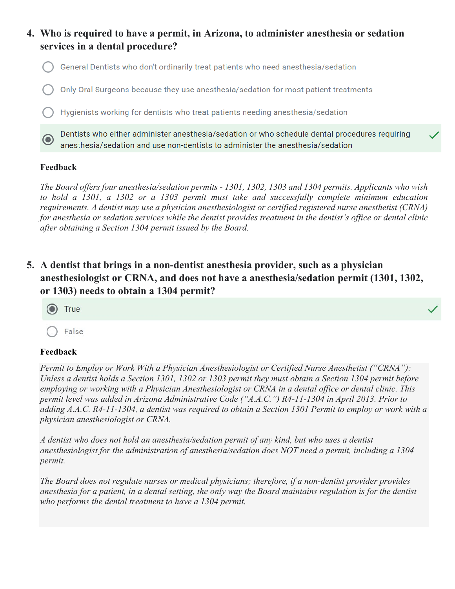

#### **Feedback**

*The Board offers four anesthesia/sedation permits - 1301, 1302, 1303 and 1304 permits. Applicants who wish to hold a 1301, a 1302 or a 1303 permit must take and successfully complete minimum education requirements. A dentist may use a physician anesthesiologist or certified registered nurse anesthetist (CRNA) for anesthesia or sedation services while the dentist provides treatment in the dentist's office or dental clinic after obtaining a Section 1304 permit issued by the Board.* 

## **5. A dentist that brings in a non-dentist anesthesia provider, such as a physician anesthesiologist or CRNA, and does not have a anesthesia/sedation permit (1301, 1302, or 1303) needs to obtain a 1304 permit?**



#### **Feedback**

*Permit to Employ or Work With a Physician Anesthesiologist or Certified Nurse Anesthetist ("CRNA"): Unless a dentist holds a Section 1301, 1302 or 1303 permit they must obtain a Section 1304 permit before employing or working with a Physician Anesthesiologist or CRNA in a dental office or dental clinic. This permit level was added in Arizona Administrative Code ("A.A.C.") R4-11-1304 in April 2013. Prior to adding A.A.C. R4-11-1304, a dentist was required to obtain a Section 1301 Permit to employ or work with a physician anesthesiologist or CRNA.*

*A dentist who does not hold an anesthesia/sedation permit of any kind, but who uses a dentist anesthesiologist for the administration of anesthesia/sedation does NOT need a permit, including a 1304 permit.*

*The Board does not regulate nurses or medical physicians; therefore, if a non-dentist provider provides anesthesia for a patient, in a dental setting, the only way the Board maintains regulation is for the dentist who performs the dental treatment to have a 1304 permit.*